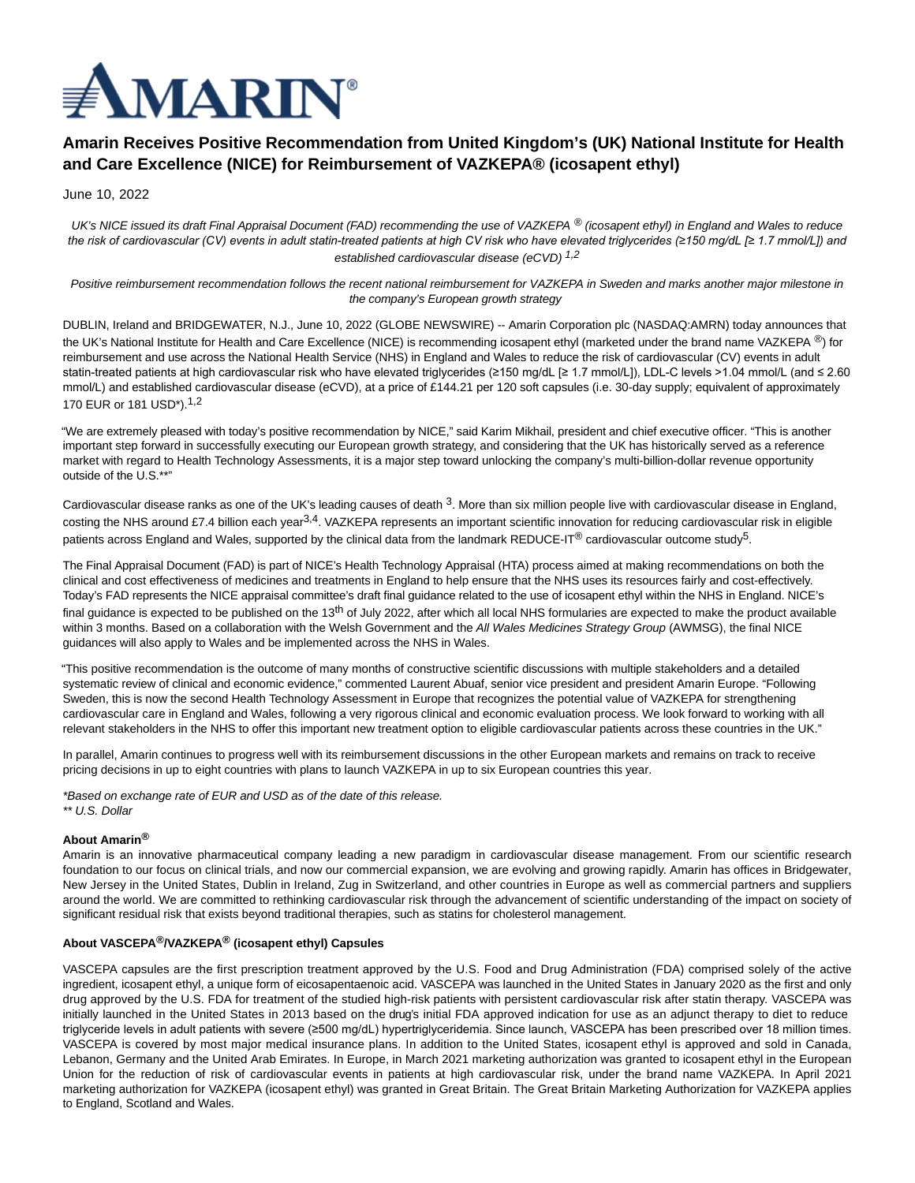

# **Amarin Receives Positive Recommendation from United Kingdom's (UK) National Institute for Health and Care Excellence (NICE) for Reimbursement of VAZKEPA® (icosapent ethyl)**

June 10, 2022

UK's NICE issued its draft Final Appraisal Document (FAD) recommending the use of VAZKEPA ® (icosapent ethyl) in England and Wales to reduce *the risk of cardiovascular (CV) events in adult statin-treated patients at high CV risk who have elevated triglycerides (≥150 mg/dL [≥ 1.7 mmol/L]) and* established cardiovascular disease (eCVD)  $1,2$ 

Positive reimbursement recommendation follows the recent national reimbursement for VAZKEPA in Sweden and marks another major milestone in the company's European growth strategy

DUBLIN, Ireland and BRIDGEWATER, N.J., June 10, 2022 (GLOBE NEWSWIRE) -- Amarin Corporation plc (NASDAQ:AMRN) today announces that the UK's National Institute for Health and Care Excellence (NICE) is recommending icosapent ethyl (marketed under the brand name VAZKEPA ®) for reimbursement and use across the National Health Service (NHS) in England and Wales to reduce the risk of cardiovascular (CV) events in adult statin-treated patients at high cardiovascular risk who have elevated triglycerides (≥150 mg/dL [≥ 1.7 mmol/L]), LDL-C levels >1.04 mmol/L (and ≤ 2.60 mmol/L) and established cardiovascular disease (eCVD), at a price of £144.21 per 120 soft capsules (i.e. 30-day supply; equivalent of approximately 170 EUR or 181 USD\*).<sup>1,2</sup>

"We are extremely pleased with today's positive recommendation by NICE," said Karim Mikhail, president and chief executive officer. "This is another important step forward in successfully executing our European growth strategy, and considering that the UK has historically served as a reference market with regard to Health Technology Assessments, it is a major step toward unlocking the company's multi-billion-dollar revenue opportunity outside of the U.S.\*\*"

Cardiovascular disease ranks as one of the UK's leading causes of death <sup>3</sup>. More than six million people live with cardiovascular disease in England, costing the NHS around £7.4 billion each year<sup>3,4</sup>. VAZKEPA represents an important scientific innovation for reducing cardiovascular risk in eligible patients across England and Wales, supported by the clinical data from the landmark REDUCE-IT<sup>®</sup> cardiovascular outcome study<sup>5</sup>.

The Final Appraisal Document (FAD) is part of NICE's Health Technology Appraisal (HTA) process aimed at making recommendations on both the clinical and cost effectiveness of medicines and treatments in England to help ensure that the NHS uses its resources fairly and cost-effectively. Today's FAD represents the NICE appraisal committee's draft final guidance related to the use of icosapent ethyl within the NHS in England. NICE's final guidance is expected to be published on the  $13<sup>th</sup>$  of July 2022, after which all local NHS formularies are expected to make the product available within 3 months. Based on a collaboration with the Welsh Government and the All Wales Medicines Strategy Group (AWMSG), the final NICE guidances will also apply to Wales and be implemented across the NHS in Wales.

"This positive recommendation is the outcome of many months of constructive scientific discussions with multiple stakeholders and a detailed systematic review of clinical and economic evidence," commented Laurent Abuaf, senior vice president and president Amarin Europe. "Following Sweden, this is now the second Health Technology Assessment in Europe that recognizes the potential value of VAZKEPA for strengthening cardiovascular care in England and Wales, following a very rigorous clinical and economic evaluation process. We look forward to working with all relevant stakeholders in the NHS to offer this important new treatment option to eligible cardiovascular patients across these countries in the UK."

In parallel, Amarin continues to progress well with its reimbursement discussions in the other European markets and remains on track to receive pricing decisions in up to eight countries with plans to launch VAZKEPA in up to six European countries this year.

\*Based on exchange rate of EUR and USD as of the date of this release. \*\* U.S. Dollar

### **About Amarin®**

Amarin is an innovative pharmaceutical company leading a new paradigm in cardiovascular disease management. From our scientific research foundation to our focus on clinical trials, and now our commercial expansion, we are evolving and growing rapidly. Amarin has offices in Bridgewater, New Jersey in the United States, Dublin in Ireland, Zug in Switzerland, and other countries in Europe as well as commercial partners and suppliers around the world. We are committed to rethinking cardiovascular risk through the advancement of scientific understanding of the impact on society of significant residual risk that exists beyond traditional therapies, such as statins for cholesterol management.

### **About VASCEPA®/VAZKEPA® (icosapent ethyl) Capsules**

VASCEPA capsules are the first prescription treatment approved by the U.S. Food and Drug Administration (FDA) comprised solely of the active ingredient, icosapent ethyl, a unique form of eicosapentaenoic acid. VASCEPA was launched in the United States in January 2020 as the first and only drug approved by the U.S. FDA for treatment of the studied high-risk patients with persistent cardiovascular risk after statin therapy. VASCEPA was initially launched in the United States in 2013 based on the drug's initial FDA approved indication for use as an adjunct therapy to diet to reduce triglyceride levels in adult patients with severe (≥500 mg/dL) hypertriglyceridemia. Since launch, VASCEPA has been prescribed over 18 million times. VASCEPA is covered by most major medical insurance plans. In addition to the United States, icosapent ethyl is approved and sold in Canada, Lebanon, Germany and the United Arab Emirates. In Europe, in March 2021 marketing authorization was granted to icosapent ethyl in the European Union for the reduction of risk of cardiovascular events in patients at high cardiovascular risk, under the brand name VAZKEPA. In April 2021 marketing authorization for VAZKEPA (icosapent ethyl) was granted in Great Britain. The Great Britain Marketing Authorization for VAZKEPA applies to England, Scotland and Wales.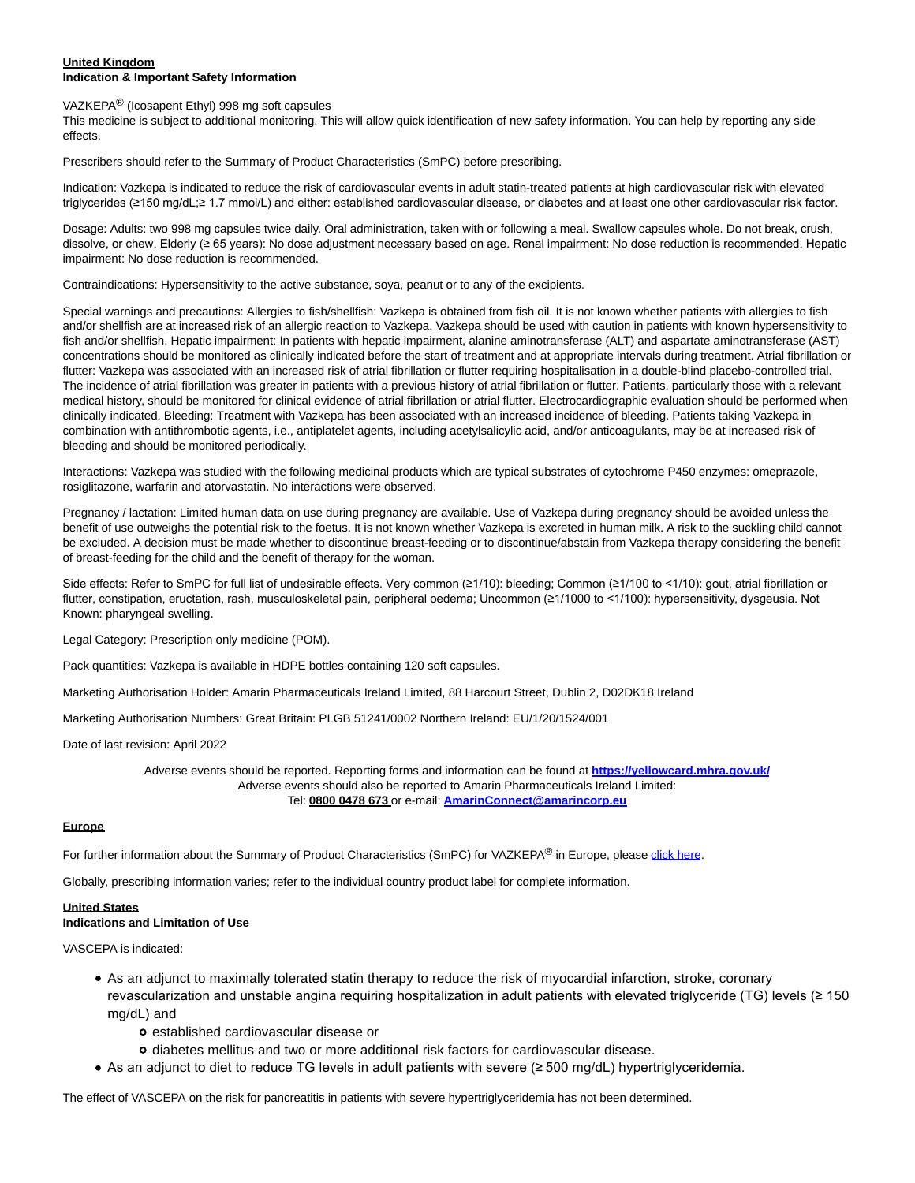### **United Kingdom Indication & Important Safety Information**

VAZKEPA® (Icosapent Ethyl) 998 mg soft capsules

This medicine is subject to additional monitoring. This will allow quick identification of new safety information. You can help by reporting any side effects.

Prescribers should refer to the Summary of Product Characteristics (SmPC) before prescribing.

Indication: Vazkepa is indicated to reduce the risk of cardiovascular events in adult statin-treated patients at high cardiovascular risk with elevated triglycerides (≥150 mg/dL;≥ 1.7 mmol/L) and either: established cardiovascular disease, or diabetes and at least one other cardiovascular risk factor.

Dosage: Adults: two 998 mg capsules twice daily. Oral administration, taken with or following a meal. Swallow capsules whole. Do not break, crush, dissolve, or chew. Elderly (≥ 65 years): No dose adjustment necessary based on age. Renal impairment: No dose reduction is recommended. Hepatic impairment: No dose reduction is recommended.

Contraindications: Hypersensitivity to the active substance, soya, peanut or to any of the excipients.

Special warnings and precautions: Allergies to fish/shellfish: Vazkepa is obtained from fish oil. It is not known whether patients with allergies to fish and/or shellfish are at increased risk of an allergic reaction to Vazkepa. Vazkepa should be used with caution in patients with known hypersensitivity to fish and/or shellfish. Hepatic impairment: In patients with hepatic impairment, alanine aminotransferase (ALT) and aspartate aminotransferase (AST) concentrations should be monitored as clinically indicated before the start of treatment and at appropriate intervals during treatment. Atrial fibrillation or flutter: Vazkepa was associated with an increased risk of atrial fibrillation or flutter requiring hospitalisation in a double-blind placebo-controlled trial. The incidence of atrial fibrillation was greater in patients with a previous history of atrial fibrillation or flutter. Patients, particularly those with a relevant medical history, should be monitored for clinical evidence of atrial fibrillation or atrial flutter. Electrocardiographic evaluation should be performed when clinically indicated. Bleeding: Treatment with Vazkepa has been associated with an increased incidence of bleeding. Patients taking Vazkepa in combination with antithrombotic agents, i.e., antiplatelet agents, including acetylsalicylic acid, and/or anticoagulants, may be at increased risk of bleeding and should be monitored periodically.

Interactions: Vazkepa was studied with the following medicinal products which are typical substrates of cytochrome P450 enzymes: omeprazole, rosiglitazone, warfarin and atorvastatin. No interactions were observed.

Pregnancy / lactation: Limited human data on use during pregnancy are available. Use of Vazkepa during pregnancy should be avoided unless the benefit of use outweighs the potential risk to the foetus. It is not known whether Vazkepa is excreted in human milk. A risk to the suckling child cannot be excluded. A decision must be made whether to discontinue breast-feeding or to discontinue/abstain from Vazkepa therapy considering the benefit of breast-feeding for the child and the benefit of therapy for the woman.

Side effects: Refer to SmPC for full list of undesirable effects. Very common (≥1/10): bleeding; Common (≥1/100 to <1/10): gout, atrial fibrillation or flutter, constipation, eructation, rash, musculoskeletal pain, peripheral oedema; Uncommon (≥1/1000 to <1/100): hypersensitivity, dysgeusia. Not Known: pharyngeal swelling.

Legal Category: Prescription only medicine (POM).

Pack quantities: Vazkepa is available in HDPE bottles containing 120 soft capsules.

Marketing Authorisation Holder: Amarin Pharmaceuticals Ireland Limited, 88 Harcourt Street, Dublin 2, D02DK18 Ireland

Marketing Authorisation Numbers: Great Britain: PLGB 51241/0002 Northern Ireland: EU/1/20/1524/001

Date of last revision: April 2022

Adverse events should be reported. Reporting forms and information can be found at **[https://yellowcard.mhra.gov.uk/](https://www.globenewswire.com/Tracker?data=YqUg1ddBPj-VLcrw2siNZeq7FgtT_OliZMpMcZAvRlnXgaWHlIi_pyeiAWjl8vfvGCuIGoD5fdH3XL75JSUFlMtzuWdiIEoykHnepIIqVrdlScPG6v3wRALpxEPmn7Vh)** Adverse events should also be reported to Amarin Pharmaceuticals Ireland Limited: Tel: **0800 0478 673** or e-mail: **[AmarinConnect@amarincorp.eu](https://www.globenewswire.com/Tracker?data=WgNDwKbTqJPT8yWoc11vstqE1iQtCvidhc3uGkUV1SUTJGUCNO6B24tnDgPyzjVxjdxiAXNcG7-sT0TOjUsUgGZ0_Saopqbj-iNt4N_PIlzxZWptgAa36hNFcSK-CvH4)**

# **Europe**

For further information about the Summary of Product Characteristics (SmPC) for VAZKEPA® in Europe, please [click here.](https://www.globenewswire.com/Tracker?data=L-SswoswutGaWzJYnWKWoY48dsyYxMEoIIvzCQvERJhHy5n0ql3qtiFvW1D2uCGJAO0PCrWCHarkp02CYwxE-sRjbfaLBFrI2Bhji0rvpesKTHdHmTM6c5AJSm5mNCX0VaUifLNxzKnzLRfVx7iXV4bu1PQLPchIdXLpzBJzyEpfFRoFRZGEZNdzK2Le-lr0)

Globally, prescribing information varies; refer to the individual country product label for complete information.

### **United States**

# **Indications and Limitation of Use**

VASCEPA is indicated:

- As an adjunct to maximally tolerated statin therapy to reduce the risk of myocardial infarction, stroke, coronary revascularization and unstable angina requiring hospitalization in adult patients with elevated triglyceride (TG) levels (≥ 150 mg/dL) and
	- established cardiovascular disease or
	- diabetes mellitus and two or more additional risk factors for cardiovascular disease.
- As an adjunct to diet to reduce TG levels in adult patients with severe (≥ 500 mg/dL) hypertriglyceridemia.

The effect of VASCEPA on the risk for pancreatitis in patients with severe hypertriglyceridemia has not been determined.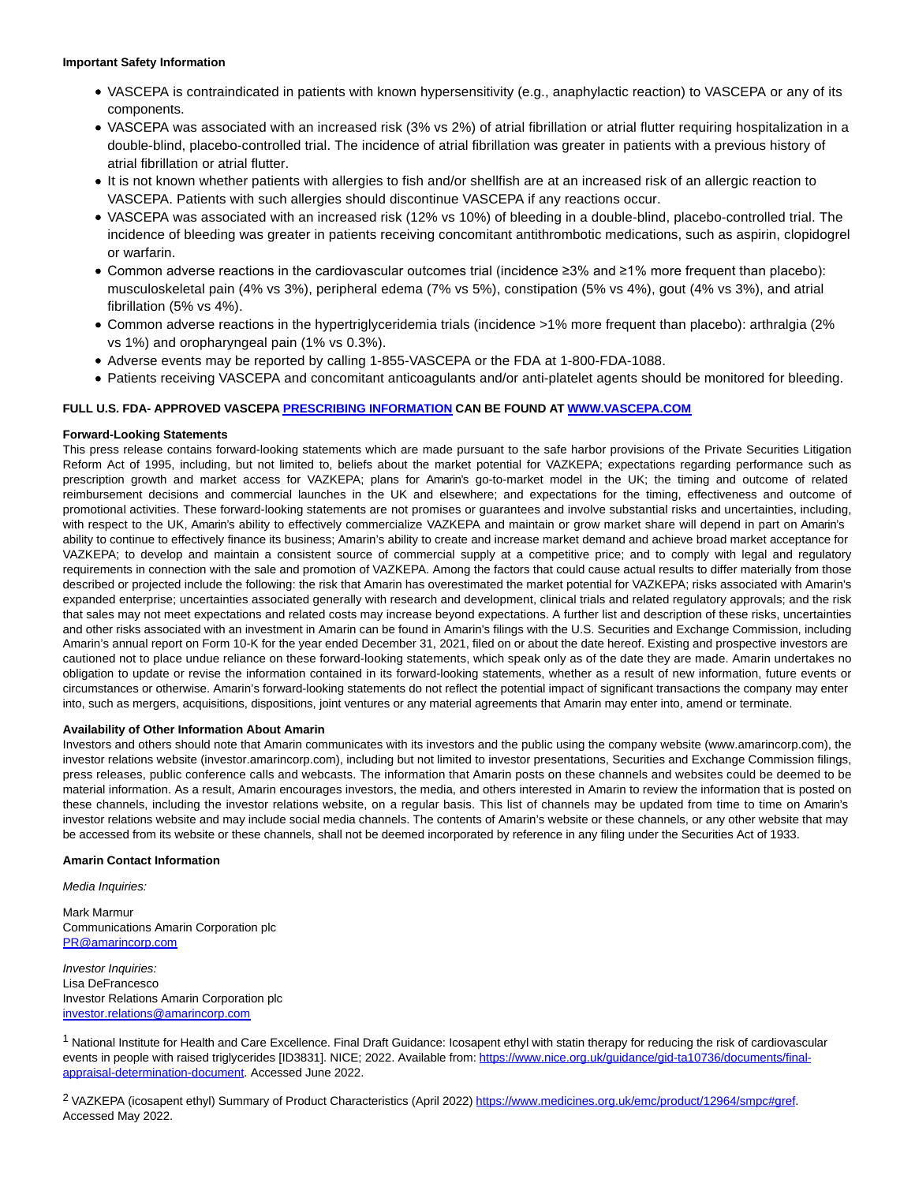### **Important Safety Information**

- VASCEPA is contraindicated in patients with known hypersensitivity (e.g., anaphylactic reaction) to VASCEPA or any of its components.
- VASCEPA was associated with an increased risk (3% vs 2%) of atrial fibrillation or atrial flutter requiring hospitalization in a double-blind, placebo-controlled trial. The incidence of atrial fibrillation was greater in patients with a previous history of atrial fibrillation or atrial flutter.
- It is not known whether patients with allergies to fish and/or shellfish are at an increased risk of an allergic reaction to VASCEPA. Patients with such allergies should discontinue VASCEPA if any reactions occur.
- VASCEPA was associated with an increased risk (12% vs 10%) of bleeding in a double-blind, placebo-controlled trial. The incidence of bleeding was greater in patients receiving concomitant antithrombotic medications, such as aspirin, clopidogrel or warfarin.
- Common adverse reactions in the cardiovascular outcomes trial (incidence ≥3% and ≥1% more frequent than placebo): musculoskeletal pain (4% vs 3%), peripheral edema (7% vs 5%), constipation (5% vs 4%), gout (4% vs 3%), and atrial fibrillation (5% vs 4%).
- Common adverse reactions in the hypertriglyceridemia trials (incidence >1% more frequent than placebo): arthralgia (2% vs 1%) and oropharyngeal pain (1% vs 0.3%).
- Adverse events may be reported by calling 1-855-VASCEPA or the FDA at 1-800-FDA-1088.
- Patients receiving VASCEPA and concomitant anticoagulants and/or anti-platelet agents should be monitored for bleeding.

### **FULL U.S. FDA- APPROVED VASCEP[A PRESCRIBING INFORMATION](https://www.globenewswire.com/Tracker?data=tDm8jRYt2gfH7fAyQ-wI3UtfjVtJB09tbDa6Os2gApHcaKtejqbXRH9jN6Oby4l-UvyFFpkDfPQt6lPI-IL0-i7aFRSMP2jFbM18q_pMYc3iEJMQWaFf-Po5YvUZN7Hq) CAN BE FOUND AT [WWW.VASCEPA.COM](https://www.globenewswire.com/Tracker?data=_LWLdBOnSIZP-UrOOrkPqbjrMnhlnjNrojOKtHQLhjEdh412drTycFpfSog35B3CaQRGC5VcPVaQtBOTiGlA5Q==)**

#### **Forward-Looking Statements**

This press release contains forward-looking statements which are made pursuant to the safe harbor provisions of the Private Securities Litigation Reform Act of 1995, including, but not limited to, beliefs about the market potential for VAZKEPA; expectations regarding performance such as prescription growth and market access for VAZKEPA; plans for Amarin's go-to-market model in the UK; the timing and outcome of related reimbursement decisions and commercial launches in the UK and elsewhere; and expectations for the timing, effectiveness and outcome of promotional activities. These forward-looking statements are not promises or guarantees and involve substantial risks and uncertainties, including, with respect to the UK, Amarin's ability to effectively commercialize VAZKEPA and maintain or grow market share will depend in part on Amarin's ability to continue to effectively finance its business; Amarin's ability to create and increase market demand and achieve broad market acceptance for VAZKEPA; to develop and maintain a consistent source of commercial supply at a competitive price; and to comply with legal and regulatory requirements in connection with the sale and promotion of VAZKEPA. Among the factors that could cause actual results to differ materially from those described or projected include the following: the risk that Amarin has overestimated the market potential for VAZKEPA; risks associated with Amarin's expanded enterprise; uncertainties associated generally with research and development, clinical trials and related regulatory approvals; and the risk that sales may not meet expectations and related costs may increase beyond expectations. A further list and description of these risks, uncertainties and other risks associated with an investment in Amarin can be found in Amarin's filings with the U.S. Securities and Exchange Commission, including Amarin's annual report on Form 10-K for the year ended December 31, 2021, filed on or about the date hereof. Existing and prospective investors are cautioned not to place undue reliance on these forward-looking statements, which speak only as of the date they are made. Amarin undertakes no obligation to update or revise the information contained in its forward-looking statements, whether as a result of new information, future events or circumstances or otherwise. Amarin's forward-looking statements do not reflect the potential impact of significant transactions the company may enter into, such as mergers, acquisitions, dispositions, joint ventures or any material agreements that Amarin may enter into, amend or terminate.

### **Availability of Other Information About Amarin**

Investors and others should note that Amarin communicates with its investors and the public using the company website (www.amarincorp.com), the investor relations website (investor.amarincorp.com), including but not limited to investor presentations, Securities and Exchange Commission filings, press releases, public conference calls and webcasts. The information that Amarin posts on these channels and websites could be deemed to be material information. As a result, Amarin encourages investors, the media, and others interested in Amarin to review the information that is posted on these channels, including the investor relations website, on a regular basis. This list of channels may be updated from time to time on Amarin's investor relations website and may include social media channels. The contents of Amarin's website or these channels, or any other website that may be accessed from its website or these channels, shall not be deemed incorporated by reference in any filing under the Securities Act of 1933.

#### **Amarin Contact Information**

Media Inquiries:

Mark Marmur Communications Amarin Corporation plc [PR@amarincorp.com](https://www.globenewswire.com/Tracker?data=81WgZLEESsu5jrDQgk0gGKfJc4uiBqZlhH0wvt9wjpky-rF0cJYrvfgypzoyHvKu9C594PCPDj9dNkhX1ep6UA==)

Investor Inquiries: Lisa DeFrancesco Investor Relations Amarin Corporation plc [investor.relations@amarincorp.com](https://www.globenewswire.com/Tracker?data=cFf15b99GdqP3ykRSmU1GK7Wi0SB6TSKmF6cyYJAHnAzZ5TS1oYVm55FF_ujo4TJT_KZS5kEoZzkzDvoxStaWc2lmtqPHjKXbrmWV3Nv7s9MYCYuNSHXFiwCzCpUKYgC)

 $1$  National Institute for Health and Care Excellence. Final Draft Guidance: Icosapent ethyl with statin therapy for reducing the risk of cardiovascular events in people with raised triglycerides [ID3831]. NICE; 2022. Available from: [https://www.nice.org.uk/guidance/gid-ta10736/documents/final](https://www.globenewswire.com/Tracker?data=YqUg1ddBPj-VLcrw2siNZWVrRjUnu3KVZalHu31pW8DRAw4Ru-M5Ei6Gyr0JUU_KHiUauct9Qb0lqfMBU3fzQI7M0ifNRBTYStHFWeWsL8HG_ECvEeiQNME7HJhuwpHq6qaloSW_NcjxLZwe1H0t3zTzqh4CR0Lz_vpoG2SrMfrWqG4JiJxfrgSO-3OLGBb00vKSB0ZohTxQTzn9c9Zk7WmVcidQAs7oYUjgR-5RoTp2a2bj_Fy4yGxe2X8VzlnJQypCBmop5I6L8d6u0bn78uztumZTGJWuc27nAGJmA54=)appraisal-determination-document. Accessed June 2022.

<sup>2</sup> VAZKEPA (icosapent ethyl) Summary of Product Characteristics (April 2022) [https://www.medicines.org.uk/emc/product/12964/smpc#gref.](https://www.globenewswire.com/Tracker?data=YqUg1ddBPj-VLcrw2siNZS5AVET1RgfGLccyxECoKQrnfDdTauF9Pkt31c9zN87Jfh6lftvHb8cYFVEctUxcvgaFRLteACoR7ufB04tY1uU7gCRcejb0N6jqJ2S2agcbKZLI95ls59yo0CTiWxf2P3MO_j0_BptUGyAOVd0-SGp2XUFppGtKTAQd-HhAEFUu) Accessed May 2022.